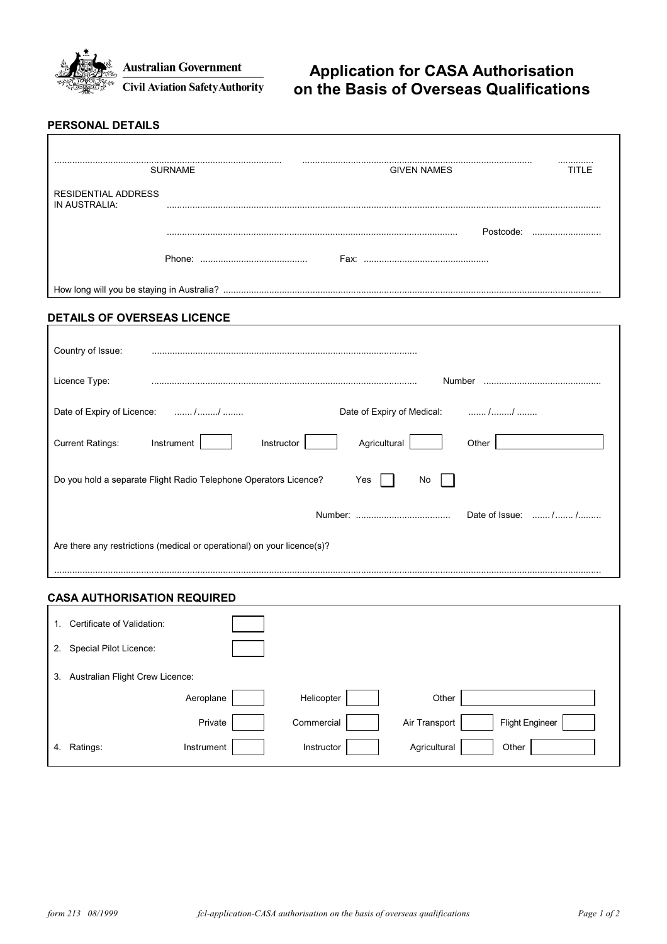

# **Application for CASA Authorisation on the Basis of Overseas Qualifications**

#### **PERSONAL DETAILS**

|                                             | <b>SURNAME</b> |                    |           |  |  |
|---------------------------------------------|----------------|--------------------|-----------|--|--|
|                                             |                | <b>GIVEN NAMES</b> |           |  |  |
| <b>RESIDENTIAL ADDRESS</b><br>IN AUSTRALIA: |                |                    |           |  |  |
|                                             |                |                    | Postcode: |  |  |
|                                             |                | Fax:               |           |  |  |
|                                             |                |                    |           |  |  |

## **DETAILS OF OVERSEAS LICENCE**

| Country of Issue:                                                       |                            |  |  |  |  |  |
|-------------------------------------------------------------------------|----------------------------|--|--|--|--|--|
| Licence Type:                                                           | Number                     |  |  |  |  |  |
| Date of Expiry of Licence: //                                           | Date of Expiry of Medical: |  |  |  |  |  |
| <b>Current Ratings:</b><br>Instrument<br>Instructor                     | Agricultural<br>Other      |  |  |  |  |  |
| Do you hold a separate Flight Radio Telephone Operators Licence?        | Yes<br>No.                 |  |  |  |  |  |
|                                                                         | Date of Issue: //          |  |  |  |  |  |
| Are there any restrictions (medical or operational) on your licence(s)? |                            |  |  |  |  |  |

### **CASA AUTHORISATION REQUIRED**

| 1. | Certificate of Validation:      |            |            |               |                        |
|----|---------------------------------|------------|------------|---------------|------------------------|
| 2. | Special Pilot Licence:          |            |            |               |                        |
| 3. | Australian Flight Crew Licence: |            |            |               |                        |
|    |                                 | Aeroplane  | Helicopter | Other         |                        |
|    |                                 | Private    | Commercial | Air Transport | <b>Flight Engineer</b> |
| 4. | Ratings:                        | Instrument | Instructor | Agricultural  | Other                  |